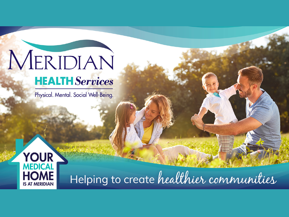## MERIDIAN **HEALTH** Services

Physical. Mental. Social Well-Being.



Helping to create healthier communities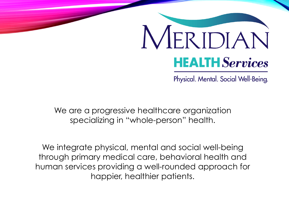# MERIDIAN **HEALTH** Services

Physical. Mental. Social Well-Being.

We are a progressive healthcare organization specializing in "whole-person" health.

We integrate physical, mental and social well-being through primary medical care, behavioral health and human services providing a well-rounded approach for happier, healthier patients.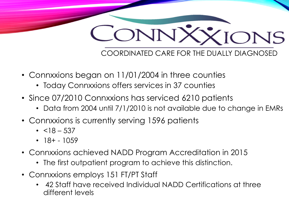

- Connxxions began on 11/01/2004 in three counties
	- Today Connxxions offers services in 37 counties
- Since 07/2010 Connxxions has serviced 6210 patients
	- Data from 2004 until 7/1/2010 is not available due to change in EMRs
- Connxxions is currently serving 1596 patients
	- $\cdot$  <18 537
	- $\cdot$  18+ 1059
- Connxxions achieved NADD Program Accreditation in 2015
	- The first outpatient program to achieve this distinction.
- Connxxions employs 151 FT/PT Staff
	- 42 Staff have received Individual NADD Certifications at three different levels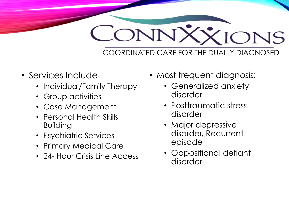

- Services Include:
	- Individual/Family Therapy
	- Group activities
	- Case Management
	- Personal Health Skills Building
	- Psychiatric Services
	- Primary Medical Care
	- 24- Hour Crisis Line Access
- Most frequent diagnosis:
	- Generalized anxiety disorder
	- Posttraumatic stress disorder
	- Major depressive disorder, Recurrent episode
	- Oppositional defiant disorder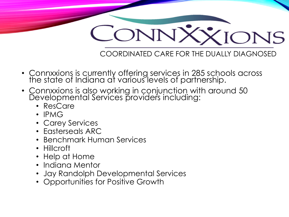

- Connxxions is currently offering services in 285 schools across the state of Indiana at various levels of partnership.
- Connxxions is also working in conjunction with around 50 Developmental Services providers including:
	- ResCare
	- IPMG
	- Carey Services
	- Easterseals ARC
	- Benchmark Human Services
	- Hillcroft
	- Help at Home
	- Indiana Mentor
	- Jay Randolph Developmental Services
	- Opportunities for Positive Growth